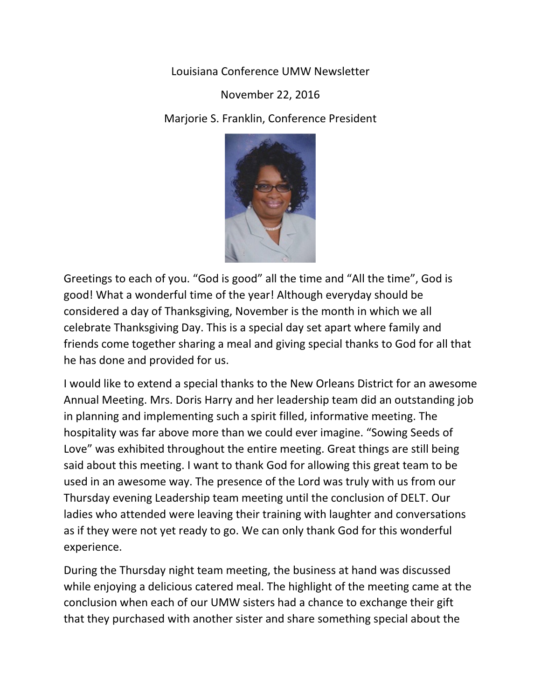Louisiana Conference UMW Newsletter

## November 22, 2016

Marjorie S. Franklin, Conference President



Greetings to each of you. "God is good" all the time and "All the time", God is good! What a wonderful time of the year! Although everyday should be considered a day of Thanksgiving, November is the month in which we all celebrate Thanksgiving Day. This is a special day set apart where family and friends come together sharing a meal and giving special thanks to God for all that he has done and provided for us.

I would like to extend a special thanks to the New Orleans District for an awesome Annual Meeting. Mrs. Doris Harry and her leadership team did an outstanding job in planning and implementing such a spirit filled, informative meeting. The hospitality was far above more than we could ever imagine. "Sowing Seeds of Love" was exhibited throughout the entire meeting. Great things are still being said about this meeting. I want to thank God for allowing this great team to be used in an awesome way. The presence of the Lord was truly with us from our Thursday evening Leadership team meeting until the conclusion of DELT. Our ladies who attended were leaving their training with laughter and conversations as if they were not yet ready to go. We can only thank God for this wonderful experience.

During the Thursday night team meeting, the business at hand was discussed while enjoying a delicious catered meal. The highlight of the meeting came at the conclusion when each of our UMW sisters had a chance to exchange their gift that they purchased with another sister and share something special about the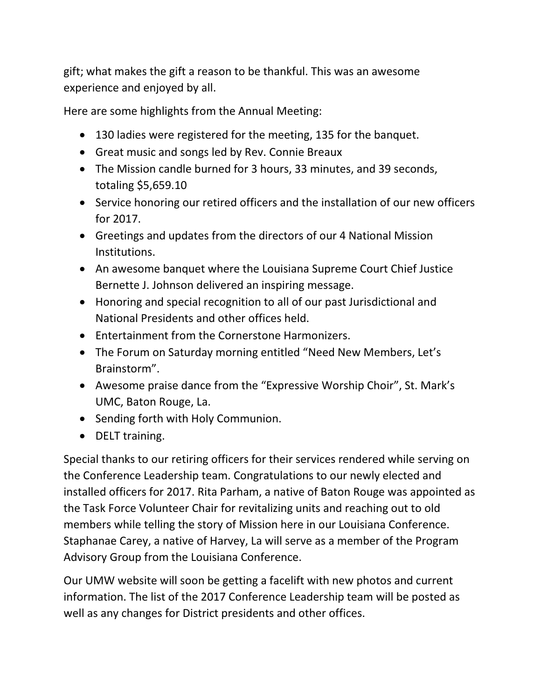gift; what makes the gift a reason to be thankful. This was an awesome experience and enjoyed by all.

Here are some highlights from the Annual Meeting:

- 130 ladies were registered for the meeting, 135 for the banquet.
- Great music and songs led by Rev. Connie Breaux
- The Mission candle burned for 3 hours, 33 minutes, and 39 seconds, totaling \$5,659.10
- Service honoring our retired officers and the installation of our new officers for 2017.
- Greetings and updates from the directors of our 4 National Mission Institutions.
- An awesome banquet where the Louisiana Supreme Court Chief Justice Bernette J. Johnson delivered an inspiring message.
- Honoring and special recognition to all of our past Jurisdictional and National Presidents and other offices held.
- Entertainment from the Cornerstone Harmonizers.
- The Forum on Saturday morning entitled "Need New Members, Let's Brainstorm".
- Awesome praise dance from the "Expressive Worship Choir", St. Mark's UMC, Baton Rouge, La.
- Sending forth with Holy Communion.
- DELT training.

Special thanks to our retiring officers for their services rendered while serving on the Conference Leadership team. Congratulations to our newly elected and installed officers for 2017. Rita Parham, a native of Baton Rouge was appointed as the Task Force Volunteer Chair for revitalizing units and reaching out to old members while telling the story of Mission here in our Louisiana Conference. Staphanae Carey, a native of Harvey, La will serve as a member of the Program Advisory Group from the Louisiana Conference.

Our UMW website will soon be getting a facelift with new photos and current information. The list of the 2017 Conference Leadership team will be posted as well as any changes for District presidents and other offices.